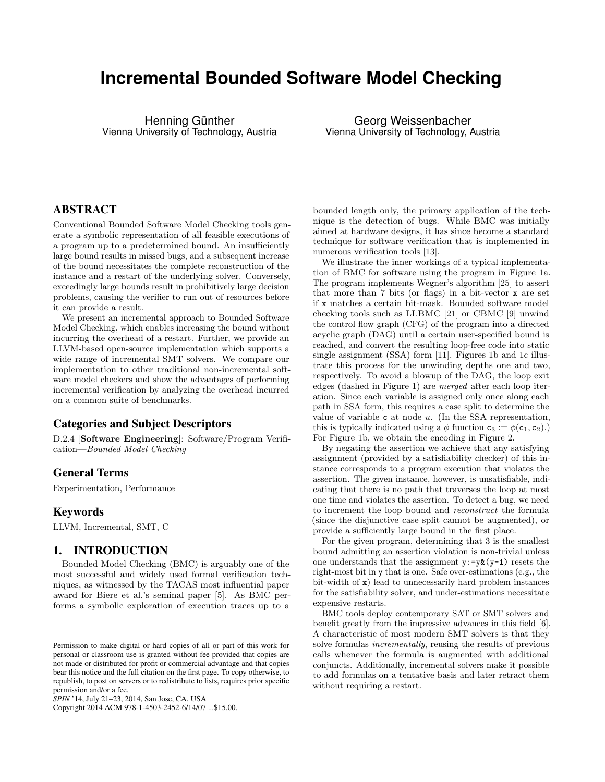# **Incremental Bounded Software Model Checking**

Henning Günther Vienna University of Technology, Austria

Georg Weissenbacher Vienna University of Technology, Austria

# ABSTRACT

Conventional Bounded Software Model Checking tools generate a symbolic representation of all feasible executions of a program up to a predetermined bound. An insufficiently large bound results in missed bugs, and a subsequent increase of the bound necessitates the complete reconstruction of the instance and a restart of the underlying solver. Conversely, exceedingly large bounds result in prohibitively large decision problems, causing the verifier to run out of resources before it can provide a result.

We present an incremental approach to Bounded Software Model Checking, which enables increasing the bound without incurring the overhead of a restart. Further, we provide an LLVM-based open-source implementation which supports a wide range of incremental SMT solvers. We compare our implementation to other traditional non-incremental software model checkers and show the advantages of performing incremental verification by analyzing the overhead incurred on a common suite of benchmarks.

#### Categories and Subject Descriptors

D.2.4 [Software Engineering]: Software/Program Verification—Bounded Model Checking

#### General Terms

Experimentation, Performance

#### Keywords

LLVM, Incremental, SMT, C

## 1. INTRODUCTION

Bounded Model Checking (BMC) is arguably one of the most successful and widely used formal verification techniques, as witnessed by the TACAS most influential paper award for Biere et al.'s seminal paper [5]. As BMC performs a symbolic exploration of execution traces up to a

Copyright 2014 ACM 978-1-4503-2452-6/14/07 ...\$15.00.

bounded length only, the primary application of the technique is the detection of bugs. While BMC was initially aimed at hardware designs, it has since become a standard technique for software verification that is implemented in numerous verification tools [13].

We illustrate the inner workings of a typical implementation of BMC for software using the program in Figure 1a. The program implements Wegner's algorithm [25] to assert that more than 7 bits (or flags) in a bit-vector x are set if x matches a certain bit-mask. Bounded software model checking tools such as LLBMC [21] or CBMC [9] unwind the control flow graph (CFG) of the program into a directed acyclic graph (DAG) until a certain user-specified bound is reached, and convert the resulting loop-free code into static single assignment (SSA) form [11]. Figures 1b and 1c illustrate this process for the unwinding depths one and two, respectively. To avoid a blowup of the DAG, the loop exit edges (dashed in Figure 1) are merged after each loop iteration. Since each variable is assigned only once along each path in SSA form, this requires a case split to determine the value of variable  $c$  at node  $u$ . (In the SSA representation, this is typically indicated using a  $\phi$  function  $c_3 := \phi(c_1, c_2)$ . For Figure 1b, we obtain the encoding in Figure 2.

By negating the assertion we achieve that any satisfying assignment (provided by a satisfiability checker) of this instance corresponds to a program execution that violates the assertion. The given instance, however, is unsatisfiable, indicating that there is no path that traverses the loop at most one time and violates the assertion. To detect a bug, we need to increment the loop bound and reconstruct the formula (since the disjunctive case split cannot be augmented), or provide a sufficiently large bound in the first place.

For the given program, determining that 3 is the smallest bound admitting an assertion violation is non-trivial unless one understands that the assignment  $y:=y(x(y-1))$  resets the right-most bit in y that is one. Safe over-estimations (e.g., the bit-width of x) lead to unnecessarily hard problem instances for the satisfiability solver, and under-estimations necessitate expensive restarts.

BMC tools deploy contemporary SAT or SMT solvers and benefit greatly from the impressive advances in this field [6]. A characteristic of most modern SMT solvers is that they solve formulas incrementally, reusing the results of previous calls whenever the formula is augmented with additional conjuncts. Additionally, incremental solvers make it possible to add formulas on a tentative basis and later retract them without requiring a restart.

Permission to make digital or hard copies of all or part of this work for personal or classroom use is granted without fee provided that copies are not made or distributed for profit or commercial advantage and that copies bear this notice and the full citation on the first page. To copy otherwise, to republish, to post on servers or to redistribute to lists, requires prior specific permission and/or a fee.

*SPIN* '14, July 21–23, 2014, San Jose, CA, USA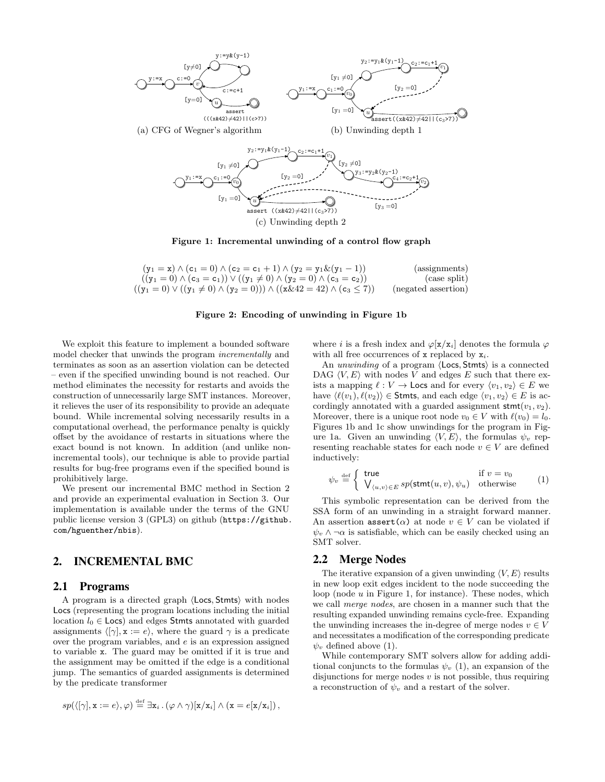

Figure 1: Incremental unwinding of a control flow graph

| $(y_1 = x) \wedge (c_1 = 0) \wedge (c_2 = c_1 + 1) \wedge (y_2 = y_1 \& (y_1 - 1))$            | (assignments)       |
|------------------------------------------------------------------------------------------------|---------------------|
| $((y_1 = 0) \wedge (c_3 = c_1)) \vee ((y_1 \neq 0) \wedge (y_2 = 0) \wedge (c_3 = c_2))$       | (case split)        |
| $((y_1 = 0) \vee ((y_1 \neq 0) \wedge (y_2 = 0))) \wedge ((x \& 42 = 42) \wedge (c_3 \leq 7))$ | (negated assertion) |

#### Figure 2: Encoding of unwinding in Figure 1b

We exploit this feature to implement a bounded software model checker that unwinds the program incrementally and terminates as soon as an assertion violation can be detected – even if the specified unwinding bound is not reached. Our method eliminates the necessity for restarts and avoids the construction of unnecessarily large SMT instances. Moreover, it relieves the user of its responsibility to provide an adequate bound. While incremental solving necessarily results in a computational overhead, the performance penalty is quickly offset by the avoidance of restarts in situations where the exact bound is not known. In addition (and unlike nonincremental tools), our technique is able to provide partial results for bug-free programs even if the specified bound is prohibitively large.

We present our incremental BMC method in Section 2 and provide an experimental evaluation in Section 3. Our implementation is available under the terms of the GNU public license version 3 (GPL3) on github (https://github. com/hguenther/nbis).

# 2. INCREMENTAL BMC

#### 2.1 Programs

A program is a directed graph  $\langle$  Locs, Stmts $\rangle$  with nodes Locs (representing the program locations including the initial location  $l_0 \in \textsf{Locs}$  and edges Stmts annotated with guarded assignments  $\langle [\gamma], \mathbf{x} := e \rangle$ , where the guard  $\gamma$  is a predicate over the program variables, and e is an expression assigned to variable x. The guard may be omitted if it is true and the assignment may be omitted if the edge is a conditional jump. The semantics of guarded assignments is determined by the predicate transformer

$$
sp(\langle [\gamma], \mathbf{x} := e \rangle, \varphi) \stackrel{\text{def}}{=} \exists \mathbf{x}_i \, . \, (\varphi \wedge \gamma)[\mathbf{x}/\mathbf{x}_i] \wedge (\mathbf{x} = e[\mathbf{x}/\mathbf{x}_i]),
$$

where i is a fresh index and  $\varphi[\mathbf{x}/\mathbf{x}_i]$  denotes the formula  $\varphi$ with all free occurrences of x replaced by  $x_i$ .

An unwinding of a program  $\langle$  Locs, Stmts $\rangle$  is a connected DAG  $\langle V, E \rangle$  with nodes V and edges E such that there exists a mapping  $\ell : V \to \textsf{Locs}$  and for every  $\langle v_1, v_2 \rangle \in E$  we have  $\langle \ell(v_1), \ell(v_2) \rangle \in \mathsf{Stmts}$ , and each edge  $\langle v_1, v_2 \rangle \in E$  is accordingly annotated with a guarded assignment  $\textsf{stmt}(v_1, v_2)$ . Moreover, there is a unique root node  $v_0 \in V$  with  $\ell(v_0) = l_0$ . Figures 1b and 1c show unwindings for the program in Figure 1a. Given an unwinding  $\langle V, E \rangle$ , the formulas  $\psi_v$  representing reachable states for each node  $v \in V$  are defined inductively:

$$
\psi_v \stackrel{\text{def}}{=} \begin{cases} \text{ true} & \text{if } v = v_0 \\ \bigvee_{\langle u, v \rangle \in E} sp(\text{stmt}(u, v), \psi_u) & \text{otherwise} \end{cases} \tag{1}
$$

This symbolic representation can be derived from the SSA form of an unwinding in a straight forward manner. An assertion assert $(\alpha)$  at node  $v \in V$  can be violated if  $\psi_v \wedge \neg \alpha$  is satisfiable, which can be easily checked using an SMT solver.

#### 2.2 Merge Nodes

The iterative expansion of a given unwinding  $\langle V, E \rangle$  results in new loop exit edges incident to the node succeeding the loop (node  $u$  in Figure 1, for instance). These nodes, which we call merge nodes, are chosen in a manner such that the resulting expanded unwinding remains cycle-free. Expanding the unwinding increases the in-degree of merge nodes  $v \in V$ and necessitates a modification of the corresponding predicate  $\psi_v$  defined above (1).

While contemporary SMT solvers allow for adding additional conjuncts to the formulas  $\psi_v$  (1), an expansion of the disjunctions for merge nodes  $v$  is not possible, thus requiring a reconstruction of  $\psi_v$  and a restart of the solver.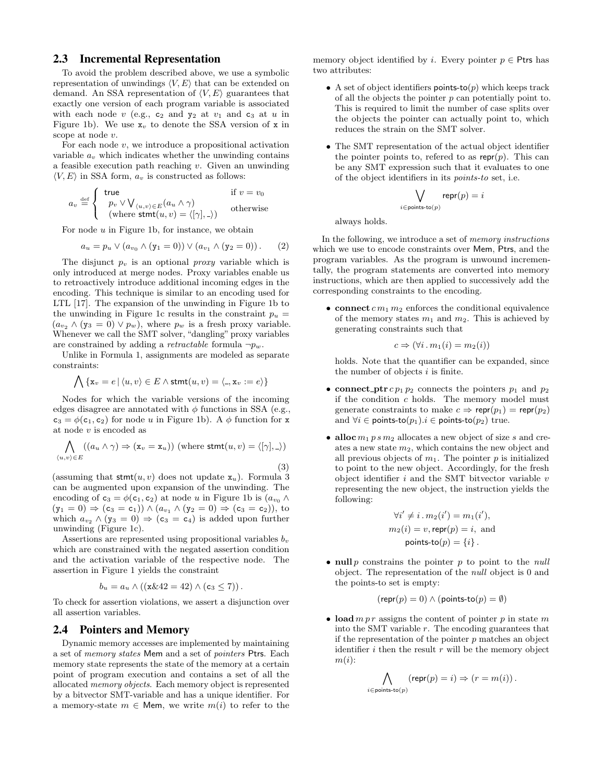#### 2.3 Incremental Representation

To avoid the problem described above, we use a symbolic representation of unwindings  $\langle V, E \rangle$  that can be extended on demand. An SSA representation of  $\langle V, E \rangle$  guarantees that exactly one version of each program variable is associated with each node v (e.g.,  $c_2$  and  $y_2$  at  $v_1$  and  $c_3$  at u in Figure 1b). We use  $x_v$  to denote the SSA version of x in scope at node v.

For each node  $v$ , we introduce a propositional activation variable  $a<sub>v</sub>$  which indicates whether the unwinding contains a feasible execution path reaching v. Given an unwinding  $\langle V, E \rangle$  in SSA form,  $a_v$  is constructed as follows:

$$
a_v \stackrel{\text{def}}{=} \begin{cases} \text{ true} & \text{ if } v = v_0 \\ p_v \vee \bigvee_{\langle u, v \rangle \in E} (a_u \wedge \gamma) \\ (\text{where } \text{stmt}(u, v) = \langle [\gamma], \_ \rangle) \end{cases} \text{ otherwise}
$$

For node  $u$  in Figure 1b, for instance, we obtain

$$
a_u = p_u \vee (a_{v_0} \wedge (y_1 = 0)) \vee (a_{v_1} \wedge (y_2 = 0)). \qquad (2)
$$

The disjunct  $p_v$  is an optional *proxy* variable which is only introduced at merge nodes. Proxy variables enable us to retroactively introduce additional incoming edges in the encoding. This technique is similar to an encoding used for LTL [17]. The expansion of the unwinding in Figure 1b to the unwinding in Figure 1c results in the constraint  $p_u =$  $(a_{v_2} \wedge (y_3 = 0) \vee p_w)$ , where  $p_w$  is a fresh proxy variable. Whenever we call the SMT solver, "dangling" proxy variables are constrained by adding a *retractable* formula  $\neg p_w$ .

Unlike in Formula 1, assignments are modeled as separate constraints:

$$
\bigwedge \{\mathtt{x}_{v}=e \,|\, \langle u,v \rangle \in E \land \mathsf{stmt}(u,v)=\langle \_, \mathtt{x}_{v}:=e \rangle\}
$$

Nodes for which the variable versions of the incoming edges disagree are annotated with  $\phi$  functions in SSA (e.g.,  $c_3 = \phi(c_1, c_2)$  for node u in Figure 1b). A  $\phi$  function for x at node v is encoded as

$$
\bigwedge_{\langle u,v\rangle \in E} ((a_u \wedge \gamma) \Rightarrow (\mathbf{x}_v = \mathbf{x}_u)) \text{ (where } \text{stmt}(u,v) = \langle [\gamma], \_ \rangle)
$$

(3)

(assuming that  $\text{stmt}(u, v)$  does not update  $x_u$ ). Formula 3 can be augmented upon expansion of the unwinding. The encoding of  $c_3 = \phi(c_1, c_2)$  at node u in Figure 1b is  $(a_{v_0} \wedge$  $(y_1 = 0) \Rightarrow (c_3 = c_1) \wedge (a_{v_1} \wedge (y_2 = 0) \Rightarrow (c_3 = c_2)),$  to which  $a_{v_2} \wedge (y_3 = 0) \Rightarrow (c_3 = c_4)$  is added upon further unwinding (Figure 1c).

Assertions are represented using propositional variables  $b_v$ which are constrained with the negated assertion condition and the activation variable of the respective node. The assertion in Figure 1 yields the constraint

$$
b_u = a_u \wedge ((\mathbf{x} \& 42 = 42) \wedge (\mathbf{c}_3 \le 7)).
$$

To check for assertion violations, we assert a disjunction over all assertion variables.

#### 2.4 Pointers and Memory

Dynamic memory accesses are implemented by maintaining a set of memory states Mem and a set of pointers Ptrs. Each memory state represents the state of the memory at a certain point of program execution and contains a set of all the allocated memory objects. Each memory object is represented by a bitvector SMT-variable and has a unique identifier. For a memory-state  $m \in \mathsf{Mem}$ , we write  $m(i)$  to refer to the

memory object identified by i. Every pointer  $p \in$  Ptrs has two attributes:

- A set of object identifiers points-to( $p$ ) which keeps track of all the objects the pointer  $p$  can potentially point to. This is required to limit the number of case splits over the objects the pointer can actually point to, which reduces the strain on the SMT solver.
- The SMT representation of the actual object identifier the pointer points to, referred to as  $\mathsf{repr}(p)$ . This can be any SMT expression such that it evaluates to one of the object identifiers in its points-to set, i.e.

$$
\bigvee_{i \in \text{points-to}(p)} \textsf{repr}(p) = i
$$

always holds.

In the following, we introduce a set of memory instructions which we use to encode constraints over Mem, Ptrs, and the program variables. As the program is unwound incrementally, the program statements are converted into memory instructions, which are then applied to successively add the corresponding constraints to the encoding.

• connect  $cm_1 m_2$  enforces the conditional equivalence of the memory states  $m_1$  and  $m_2$ . This is achieved by generating constraints such that

$$
c \Rightarrow (\forall i \, . \, m_1(i) = m_2(i))
$$

holds. Note that the quantifier can be expanded, since the number of objects  $i$  is finite.

- connect\_ptr  $cp_1 p_2$  connects the pointers  $p_1$  and  $p_2$ if the condition c holds. The memory model must generate constraints to make  $c \Rightarrow \text{repr}(p_1) = \text{repr}(p_2)$ and  $\forall i \in \text{points-to}(p_1) \ldotp i \in \text{points-to}(p_2)$  true.
- alloc  $m_1 p s m_2$  allocates a new object of size s and creates a new state  $m_2$ , which contains the new object and all previous objects of  $m_1$ . The pointer p is initialized to point to the new object. Accordingly, for the fresh object identifier  $i$  and the SMT bitvector variable  $v$ representing the new object, the instruction yields the following:

$$
\forall i' \neq i \, . \, m_2(i') = m_1(i'),
$$
  
\n
$$
m_2(i) = v, \text{repr}(p) = i, \text{ and}
$$
  
\n
$$
\text{points-to}(p) = \{i\}.
$$

• null p constrains the pointer  $p$  to point to the null object. The representation of the null object is 0 and the points-to set is empty:

$$
(\mathsf{repr}(p) = 0) \land (\mathsf{points}\text{-}\mathsf{to}(p) = \emptyset)
$$

• load  $m p r$  assigns the content of pointer p in state m into the SMT variable  $r$ . The encoding guarantees that if the representation of the pointer  $p$  matches an object identifier  $i$  then the result  $r$  will be the memory object  $m(i)$ :

 $i \in p$ 

$$
\bigwedge_{\text{oints-to}(p)} (\text{repr}(p) = i) \Rightarrow (r = m(i)) \, .
$$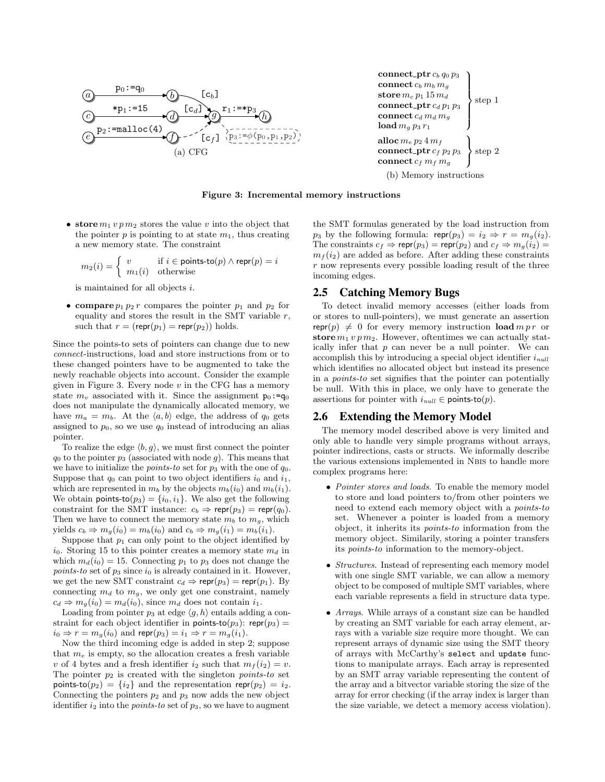



(b) Memory instructions



• store  $m_1 v p m_2$  stores the value v into the object that the pointer  $p$  is pointing to at state  $m_1$ , thus creating a new memory state. The constraint

$$
m_2(i) = \begin{cases} v & \text{if } i \in \text{points-to}(p) \land \text{repr}(p) = i \\ m_1(i) & \text{otherwise} \end{cases}
$$

is maintained for all objects i.

• compare  $p_1 p_2 r$  compares the pointer  $p_1$  and  $p_2$  for equality and stores the result in the SMT variable  $r$ , such that  $r = (repr(p_1) = repr(p_2))$  holds.

Since the points-to sets of pointers can change due to new connect-instructions, load and store instructions from or to these changed pointers have to be augmented to take the newly reachable objects into account. Consider the example given in Figure 3. Every node  $v$  in the CFG has a memory state  $m_v$  associated with it. Since the assignment  $p_0:=q_0$ does not manipulate the dynamically allocated memory, we have  $m_a = m_b$ . At the  $\langle a, b \rangle$  edge, the address of  $q_0$  gets assigned to  $p_0$ , so we use  $q_0$  instead of introducing an alias pointer.

To realize the edge  $\langle b, g \rangle$ , we must first connect the pointer  $q_0$  to the pointer  $p_3$  (associated with node g). This means that we have to initialize the *points-to* set for  $p_3$  with the one of  $q_0$ . Suppose that  $q_0$  can point to two object identifiers  $i_0$  and  $i_1$ , which are represented in  $m_b$  by the objects  $m_b(i_0)$  and  $m_b(i_1)$ . We obtain **points-to** $(p_3) = \{i_0, i_1\}$ . We also get the following constraint for the SMT instance:  $c_b \Rightarrow \text{repr}(p_3) = \text{repr}(q_0)$ . Then we have to connect the memory state  $m_b$  to  $m_g$ , which yields  $c_b \Rightarrow m_g(i_0) = m_b(i_0)$  and  $c_b \Rightarrow m_g(i_1) = m_b(i_1)$ .

Suppose that  $p_1$  can only point to the object identified by  $i_0$ . Storing 15 to this pointer creates a memory state  $m_d$  in which  $m_d(i_0) = 15$ . Connecting  $p_1$  to  $p_3$  does not change the points-to set of  $p_3$  since  $i_0$  is already contained in it. However, we get the new SMT constraint  $c_d \Rightarrow \text{repr}(p_3) = \text{repr}(p_1)$ . By connecting  $m_d$  to  $m_q$ , we only get one constraint, namely  $c_d \Rightarrow m_q(i_0) = m_d(i_0)$ , since  $m_d$  does not contain  $i_1$ .

Loading from pointer  $p_3$  at edge  $\langle g, h \rangle$  entails adding a constraint for each object identifier in points-to( $p_3$ ): repr( $p_3$ ) =  $i_0 \Rightarrow r = m_q(i_0)$  and repr $(p_3) = i_1 \Rightarrow r = m_q(i_1)$ .

Now the third incoming edge is added in step 2; suppose that  $m_e$  is empty, so the allocation creates a fresh variable v of 4 bytes and a fresh identifier  $i_2$  such that  $m_f (i_2) = v$ . The pointer  $p_2$  is created with the singleton *points-to* set points-to( $p_2$ ) = { $i_2$ } and the representation repr( $p_2$ ) =  $i_2$ . Connecting the pointers  $p_2$  and  $p_3$  now adds the new object identifier  $i_2$  into the *points-to* set of  $p_3$ , so we have to augment

the SMT formulas generated by the load instruction from  $p_3$  by the following formula:  $\mathsf{repr}(p_3) = i_2 \Rightarrow r = m_q(i_2)$ . The constraints  $c_f \Rightarrow \text{repr}(p_3) = \text{repr}(p_2)$  and  $c_f \Rightarrow m_g(i_2) =$  $m_f(i_2)$  are added as before. After adding these constraints  $r$  now represents every possible loading result of the three incoming edges.

#### 2.5 Catching Memory Bugs

To detect invalid memory accesses (either loads from or stores to null-pointers), we must generate an assertion repr(p)  $\neq 0$  for every memory instruction load m p r or store  $m_1 v p m_2$ . However, oftentimes we can actually statically infer that  $p$  can never be a null pointer. We can accomplish this by introducing a special object identifier  $i_{null}$ which identifies no allocated object but instead its presence in a points-to set signifies that the pointer can potentially be null. With this in place, we only have to generate the assertions for pointer with  $i_{null} \in \text{points-to}(p)$ .

#### 2.6 Extending the Memory Model

The memory model described above is very limited and only able to handle very simple programs without arrays, pointer indirections, casts or structs. We informally describe the various extensions implemented in NBIS to handle more complex programs here:

- *Pointer stores and loads*. To enable the memory model to store and load pointers to/from other pointers we need to extend each memory object with a points-to set. Whenever a pointer is loaded from a memory object, it inherits its points-to information from the memory object. Similarily, storing a pointer transfers its points-to information to the memory-object.
- Structures. Instead of representing each memory model with one single SMT variable, we can allow a memory object to be composed of multiple SMT variables, where each variable represents a field in structure data type.
- Arrays. While arrays of a constant size can be handled by creating an SMT variable for each array element, arrays with a variable size require more thought. We can represent arrays of dynamic size using the SMT theory of arrays with McCarthy's select and update functions to manipulate arrays. Each array is represented by an SMT array variable representing the content of the array and a bitvector variable storing the size of the array for error checking (if the array index is larger than the size variable, we detect a memory access violation).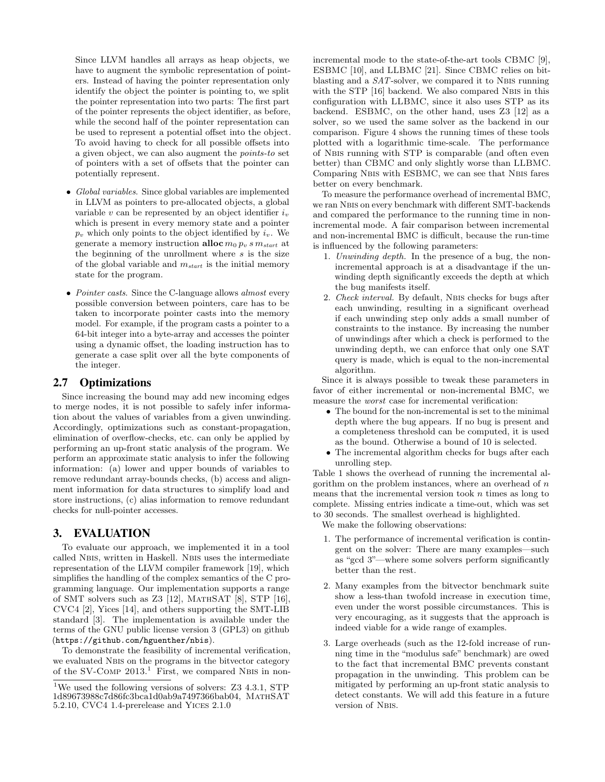Since LLVM handles all arrays as heap objects, we have to augment the symbolic representation of pointers. Instead of having the pointer representation only identify the object the pointer is pointing to, we split the pointer representation into two parts: The first part of the pointer represents the object identifier, as before, while the second half of the pointer representation can be used to represent a potential offset into the object. To avoid having to check for all possible offsets into a given object, we can also augment the points-to set of pointers with a set of offsets that the pointer can potentially represent.

- Global variables. Since global variables are implemented in LLVM as pointers to pre-allocated objects, a global variable  $v$  can be represented by an object identifier  $i_v$ which is present in every memory state and a pointer  $p_v$  which only points to the object identified by  $i_v$ . We generate a memory instruction alloc  $m_0 p_v s m_{start}$  at the beginning of the unrollment where  $s$  is the size of the global variable and  $m_{start}$  is the initial memory state for the program.
- Pointer casts. Since the C-language allows almost every possible conversion between pointers, care has to be taken to incorporate pointer casts into the memory model. For example, if the program casts a pointer to a 64-bit integer into a byte-array and accesses the pointer using a dynamic offset, the loading instruction has to generate a case split over all the byte components of the integer.

### 2.7 Optimizations

Since increasing the bound may add new incoming edges to merge nodes, it is not possible to safely infer information about the values of variables from a given unwinding. Accordingly, optimizations such as constant-propagation, elimination of overflow-checks, etc. can only be applied by performing an up-front static analysis of the program. We perform an approximate static analysis to infer the following information: (a) lower and upper bounds of variables to remove redundant array-bounds checks, (b) access and alignment information for data structures to simplify load and store instructions, (c) alias information to remove redundant checks for null-pointer accesses.

#### 3. EVALUATION

To evaluate our approach, we implemented it in a tool called Nbis, written in Haskell. Nbis uses the intermediate representation of the LLVM compiler framework [19], which simplifies the handling of the complex semantics of the C programming language. Our implementation supports a range of SMT solvers such as  $Z3$  [12], MATHSAT [8], STP [16], CVC4 [2], Yices [14], and others supporting the SMT-LIB standard [3]. The implementation is available under the terms of the GNU public license version 3 (GPL3) on github (https://github.com/hguenther/nbis).

To demonstrate the feasibility of incremental verification, we evaluated Nbis on the programs in the bitvector category of the SV-COMP 2013.<sup>1</sup> First, we compared NBIS in nonincremental mode to the state-of-the-art tools CBMC [9], ESBMC [10], and LLBMC [21]. Since CBMC relies on bitblasting and a  $SAT$ -solver, we compared it to NBIS running with the STP [16] backend. We also compared NBIS in this configuration with LLBMC, since it also uses STP as its backend. ESBMC, on the other hand, uses Z3 [12] as a solver, so we used the same solver as the backend in our comparison. Figure 4 shows the running times of these tools plotted with a logarithmic time-scale. The performance of Nbis running with STP is comparable (and often even better) than CBMC and only slightly worse than LLBMC. Comparing Nbis with ESBMC, we can see that Nbis fares better on every benchmark.

To measure the performance overhead of incremental BMC, we ran Nbis on every benchmark with different SMT-backends and compared the performance to the running time in nonincremental mode. A fair comparison between incremental and non-incremental BMC is difficult, because the run-time is influenced by the following parameters:

- 1. Unwinding depth. In the presence of a bug, the nonincremental approach is at a disadvantage if the unwinding depth significantly exceeds the depth at which the bug manifests itself.
- 2. Check interval. By default, Nbis checks for bugs after each unwinding, resulting in a significant overhead if each unwinding step only adds a small number of constraints to the instance. By increasing the number of unwindings after which a check is performed to the unwinding depth, we can enforce that only one SAT query is made, which is equal to the non-incremental algorithm.

Since it is always possible to tweak these parameters in favor of either incremental or non-incremental BMC, we measure the worst case for incremental verification:

- The bound for the non-incremental is set to the minimal depth where the bug appears. If no bug is present and a completeness threshold can be computed, it is used as the bound. Otherwise a bound of 10 is selected.
- The incremental algorithm checks for bugs after each unrolling step.

Table 1 shows the overhead of running the incremental algorithm on the problem instances, where an overhead of  $n$ means that the incremental version took  $n$  times as long to complete. Missing entries indicate a time-out, which was set to 30 seconds. The smallest overhead is highlighted.

We make the following observations:

- 1. The performance of incremental verification is contingent on the solver: There are many examples—such as "gcd 3"—where some solvers perform significantly better than the rest.
- 2. Many examples from the bitvector benchmark suite show a less-than twofold increase in execution time, even under the worst possible circumstances. This is very encouraging, as it suggests that the approach is indeed viable for a wide range of examples.
- 3. Large overheads (such as the 12-fold increase of running time in the "modulus safe" benchmark) are owed to the fact that incremental BMC prevents constant propagation in the unwinding. This problem can be mitigated by performing an up-front static analysis to detect constants. We will add this feature in a future version of Nbis.

<sup>&</sup>lt;sup>1</sup>We used the following versions of solvers: Z3 4.3.1, STP 1d89673988c7d86fc3bca1d0ab9a7497366bab04, MathSAT 5.2.10, CVC4 1.4-prerelease and Yices 2.1.0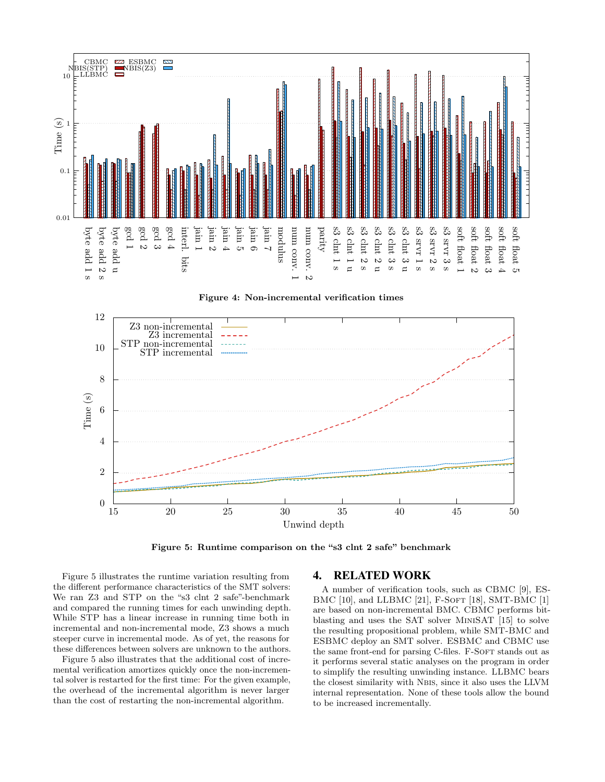

Figure 4: Non-incremental verification times



Figure 5: Runtime comparison on the "s3 clnt 2 safe" benchmark

Figure 5 illustrates the runtime variation resulting from the different performance characteristics of the SMT solvers: We ran Z3 and STP on the "s3 clnt 2 safe"-benchmark and compared the running times for each unwinding depth. While STP has a linear increase in running time both in incremental and non-incremental mode, Z3 shows a much steeper curve in incremental mode. As of yet, the reasons for these differences between solvers are unknown to the authors.

Figure 5 also illustrates that the additional cost of incremental verification amortizes quickly once the non-incremental solver is restarted for the first time: For the given example, the overhead of the incremental algorithm is never larger than the cost of restarting the non-incremental algorithm.

### 4. RELATED WORK

A number of verification tools, such as CBMC [9], ES-BMC [10], and LLBMC [21], F-SOFT [18], SMT-BMC [1] are based on non-incremental BMC. CBMC performs bitblasting and uses the SAT solver MiniSAT [15] to solve the resulting propositional problem, while SMT-BMC and ESBMC deploy an SMT solver. ESBMC and CBMC use the same front-end for parsing C-files. F-SOFT stands out as it performs several static analyses on the program in order to simplify the resulting unwinding instance. LLBMC bears the closest similarity with Nbis, since it also uses the LLVM internal representation. None of these tools allow the bound to be increased incrementally.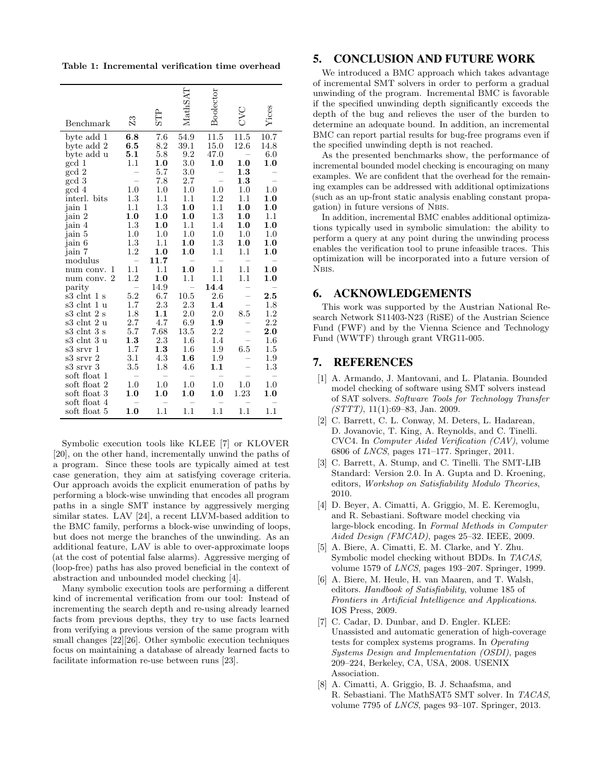Table 1: Incremental verification time overhead

|                                 |                          |            | <b>MathSAT</b>           | Boolector |      |       |
|---------------------------------|--------------------------|------------|--------------------------|-----------|------|-------|
| Benchmark                       | 23                       | <b>STP</b> |                          |           | DAC  | Yices |
| byte add 1                      | 6.8                      | 7.6        | 54.9                     | 11.5      | 11.5 | 10.7  |
| byte add 2                      | 6.5                      | $8.2\,$    | 39.1                     | 15.0      | 12.6 | 14.8  |
| byte add u                      | 5.1                      | 5.8        | 9.2                      | 47.0      |      | 6.0   |
| gcd 1                           | 1.1                      | 1.0        | 3.0                      | 1.0       | 1.0  | 1.0   |
| gcd 2                           |                          | 5.7        | 3.0                      |           | 1.3  |       |
| gcd 3                           |                          | 7.8        | 2.7                      |           | 1.3  |       |
| gcd 4                           | 1.0                      | 1.0        | 1.0                      | 1.0       | 1.0  | 1.0   |
| interl. bits                    | 1.3                      | 1.1        | 1.1                      | 1.2       | 1.1  | 1.0   |
| jain 1                          | 1.1                      | 1.3        | 1.0                      | 1.1       | 1.0  | 1.0   |
| jain 2                          | 1.0                      | 1.0        | 1.0                      | 1.3       | 1.0  | 1.1   |
| jain 4                          | 1.3                      | 1.0        | 1.1                      | 1.4       | 1.0  | 1.0   |
| jain 5                          | 1.0                      | 1.0        | 1.0                      | 1.0       | 1.0  | 1.0   |
| jain 6                          | 1.3                      | 1.1        | 1.0                      | 1.3       | 1.0  | 1.0   |
| jain 7                          | 1.2                      | 1.0        | 1.0                      | $1.1\,$   | 1.1  | 1.0   |
| modulus                         | $\overline{a}$           | 11.7       |                          |           |      |       |
| num conv.<br>1                  | 1.1                      | 1.1        | $1.0\,$                  | $1.1\,$   | 1.1  | 1.0   |
| $\overline{2}$<br>num conv.     | 1.2                      | 1.0        | 1.1                      | 1.1       | 1.1  | 1.0   |
| parity                          | $\overline{\phantom{0}}$ | 14.9       | $\overline{\phantom{0}}$ | 14.4      |      |       |
| s3 clnt 1 s                     | 5.2                      | 6.7        | 10.5                     | 2.6       |      | 2.5   |
| s3 clnt 1 u                     | 1.7                      | $2.3\,$    | 2.3                      | 1.4       |      | 1.8   |
| s3 clnt 2 s                     | 1.8                      | 1.1        | 2.0                      | 2.0       | 8.5  | 1.2   |
| s3 clnt 2 u                     | 2.7                      | 4.7        | 6.9                      | 1.9       |      | 2.2   |
| s3 clnt 3<br>S                  | 5.7                      | 7.68       | 13.5                     | 2.2       |      | 2.0   |
| s3 clnt 3 u                     | 1.3                      | 2.3        | $1.6\,$                  | 1.4       |      | 1.6   |
| s3 srvr<br>$\mathbf{1}$         | 1.7                      | 1.3        | 1.6                      | 1.9       | 6.5  | 1.5   |
| s3 srvr<br>$\overline{2}$       | 3.1                      | 4.3        | $1.6\,$                  | 1.9       |      | 1.9   |
| s3 srvr 3                       | 3.5                      | 1.8        | 4.6                      | 1.1       |      | 1.3   |
| soft float<br>1                 |                          |            |                          |           |      |       |
| soft float<br>$\overline{2}$    | 1.0                      | 1.0        | 1.0                      | 1.0       | 1.0  | 1.0   |
| soft float 3                    | 1.0                      | 1.0        | 1.0                      | 1.0       | 1.23 | 1.0   |
| soft float<br>4<br>soft float 5 | 1.0                      | 1.1        | 1.1                      | 1.1       | 1.1  | 1.1   |
|                                 |                          |            |                          |           |      |       |

Symbolic execution tools like KLEE [7] or KLOVER [20], on the other hand, incrementally unwind the paths of a program. Since these tools are typically aimed at test case generation, they aim at satisfying coverage criteria. Our approach avoids the explicit enumeration of paths by performing a block-wise unwinding that encodes all program paths in a single SMT instance by aggressively merging similar states. LAV [24], a recent LLVM-based addition to the BMC family, performs a block-wise unwinding of loops, but does not merge the branches of the unwinding. As an additional feature, LAV is able to over-approximate loops (at the cost of potential false alarms). Aggressive merging of (loop-free) paths has also proved beneficial in the context of abstraction and unbounded model checking [4].

Many symbolic execution tools are performing a different kind of incremental verification from our tool: Instead of incrementing the search depth and re-using already learned facts from previous depths, they try to use facts learned from verifying a previous version of the same program with small changes [22][26]. Other symbolic execution techniques focus on maintaining a database of already learned facts to facilitate information re-use between runs [23].

#### 5. CONCLUSION AND FUTURE WORK

We introduced a BMC approach which takes advantage of incremental SMT solvers in order to perform a gradual unwinding of the program. Incremental BMC is favorable if the specified unwinding depth significantly exceeds the depth of the bug and relieves the user of the burden to determine an adequate bound. In addition, an incremental BMC can report partial results for bug-free programs even if the specified unwinding depth is not reached.

As the presented benchmarks show, the performance of incremental bounded model checking is encouraging on many examples. We are confident that the overhead for the remaining examples can be addressed with additional optimizations (such as an up-front static analysis enabling constant propagation) in future versions of Nbis.

In addition, incremental BMC enables additional optimizations typically used in symbolic simulation: the ability to perform a query at any point during the unwinding process enables the verification tool to prune infeasible traces. This optimization will be incorporated into a future version of N<sub>BIS</sub>.

#### 6. ACKNOWLEDGEMENTS

This work was supported by the Austrian National Research Network S11403-N23 (RiSE) of the Austrian Science Fund (FWF) and by the Vienna Science and Technology Fund (WWTF) through grant VRG11-005.

#### 7. REFERENCES

- [1] A. Armando, J. Mantovani, and L. Platania. Bounded model checking of software using SMT solvers instead of SAT solvers. Software Tools for Technology Transfer  $(STTT$ ), 11(1):69–83, Jan. 2009.
- [2] C. Barrett, C. L. Conway, M. Deters, L. Hadarean, D. Jovanovic, T. King, A. Reynolds, and C. Tinelli. CVC4. In Computer Aided Verification (CAV), volume 6806 of LNCS, pages 171–177. Springer, 2011.
- [3] C. Barrett, A. Stump, and C. Tinelli. The SMT-LIB Standard: Version 2.0. In A. Gupta and D. Kroening, editors, Workshop on Satisfiability Modulo Theories, 2010.
- [4] D. Beyer, A. Cimatti, A. Griggio, M. E. Keremoglu, and R. Sebastiani. Software model checking via large-block encoding. In Formal Methods in Computer Aided Design (FMCAD), pages 25–32. IEEE, 2009.
- [5] A. Biere, A. Cimatti, E. M. Clarke, and Y. Zhu. Symbolic model checking without BDDs. In TACAS, volume 1579 of LNCS, pages 193–207. Springer, 1999.
- [6] A. Biere, M. Heule, H. van Maaren, and T. Walsh, editors. Handbook of Satisfiability, volume 185 of Frontiers in Artificial Intelligence and Applications. IOS Press, 2009.
- [7] C. Cadar, D. Dunbar, and D. Engler. KLEE: Unassisted and automatic generation of high-coverage tests for complex systems programs. In Operating Systems Design and Implementation (OSDI), pages 209–224, Berkeley, CA, USA, 2008. USENIX Association.
- [8] A. Cimatti, A. Griggio, B. J. Schaafsma, and R. Sebastiani. The MathSAT5 SMT solver. In TACAS, volume 7795 of LNCS, pages 93–107. Springer, 2013.